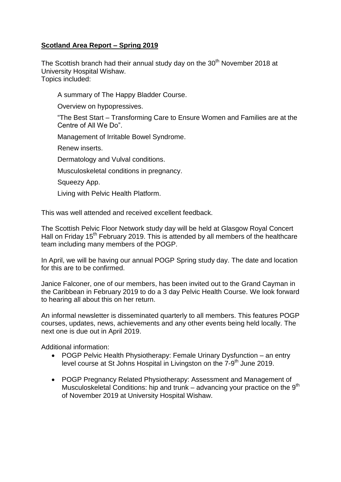## **Scotland Area Report – Spring 2019**

The Scottish branch had their annual study day on the  $30<sup>th</sup>$  November 2018 at University Hospital Wishaw. Topics included:

A summary of The Happy Bladder Course.

Overview on hypopressives.

"The Best Start – Transforming Care to Ensure Women and Families are at the Centre of All We Do".

Management of Irritable Bowel Syndrome.

Renew inserts.

Dermatology and Vulval conditions.

Musculoskeletal conditions in pregnancy.

Squeezy App.

Living with Pelvic Health Platform.

This was well attended and received excellent feedback.

The Scottish Pelvic Floor Network study day will be held at Glasgow Royal Concert Hall on Friday 15<sup>th</sup> February 2019. This is attended by all members of the healthcare team including many members of the POGP.

In April, we will be having our annual POGP Spring study day. The date and location for this are to be confirmed.

Janice Falconer, one of our members, has been invited out to the Grand Cayman in the Caribbean in February 2019 to do a 3 day Pelvic Health Course. We look forward to hearing all about this on her return.

An informal newsletter is disseminated quarterly to all members. This features POGP courses, updates, news, achievements and any other events being held locally. The next one is due out in April 2019.

Additional information:

- POGP Pelvic Health Physiotherapy: Female Urinary Dysfunction an entry level course at St Johns Hospital in Livingston on the 7-9<sup>th</sup> June 2019.
- POGP Pregnancy Related Physiotherapy: Assessment and Management of Musculoskeletal Conditions: hip and trunk – advancing your practice on the  $9<sup>th</sup>$ of November 2019 at University Hospital Wishaw.